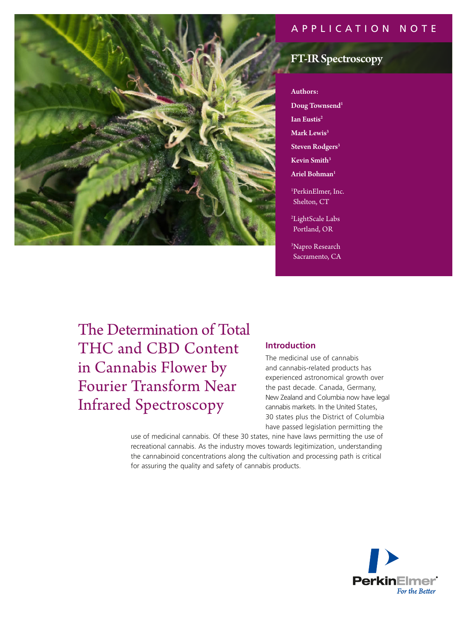## APPLICATION NOTE



# FT-IR Spectroscopy

#### Authors:

Doug Townsend<sup>1</sup>

- Ian Eustis2
- Mark Lewis<sup>3</sup>
- Steven Rodgers<sup>3</sup>
- Kevin Smith<sup>3</sup>

Ariel Bohman $^{\rm 1}$ 

1 PerkinElmer, Inc. Shelton, CT

2 LightScale Labs Portland, OR

3 Napro Research Sacramento, CA

The Determination of Total THC and CBD Content in Cannabis Flower by Fourier Transform Near Infrared Spectroscopy

## **Introduction**

The medicinal use of cannabis and cannabis-related products has experienced astronomical growth over the past decade. Canada, Germany, New Zealand and Columbia now have legal cannabis markets. In the United States, 30 states plus the District of Columbia have passed legislation permitting the

use of medicinal cannabis. Of these 30 states, nine have laws permitting the use of recreational cannabis. As the industry moves towards legitimization, understanding the cannabinoid concentrations along the cultivation and processing path is critical for assuring the quality and safety of cannabis products.

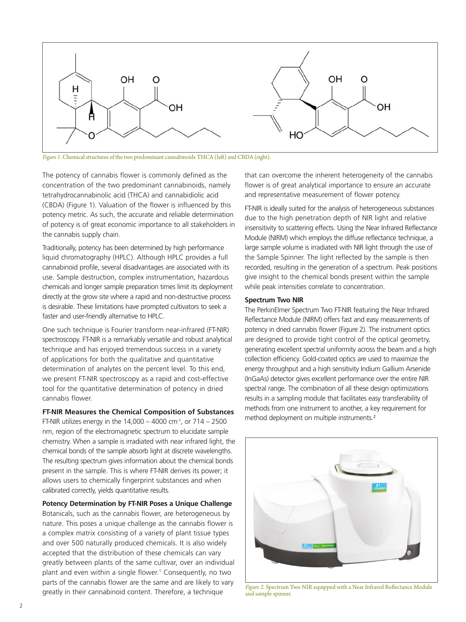

*Figure 1.* Chemical structures of the two predominant cannabinoids THCA (left) and CBDA (right).

The potency of cannabis flower is commonly defined as the concentration of the two predominant cannabinoids, namely tetrahydrocannabinolic acid (THCA) and cannabidiolic acid (CBDA) (Figure 1). Valuation of the flower is influenced by this potency metric. As such, the accurate and reliable determination of potency is of great economic importance to all stakeholders in the cannabis supply chain.

Traditionally, potency has been determined by high performance liquid chromatography (HPLC). Although HPLC provides a full cannabinoid profile, several disadvantages are associated with its use. Sample destruction, complex instrumentation, hazardous chemicals and longer sample preparation times limit its deployment directly at the grow site where a rapid and non-destructive process is desirable. These limitations have prompted cultivators to seek a faster and user-friendly alternative to HPLC.

One such technique is Fourier transform near-infrared (FT-NIR) spectroscopy. FT-NIR is a remarkably versatile and robust analytical technique and has enjoyed tremendous success in a variety of applications for both the qualitative and quantitative determination of analytes on the percent level. To this end, we present FT-NIR spectroscopy as a rapid and cost-effective tool for the quantitative determination of potency in dried cannabis flower.

**FT-NIR Measures the Chemical Composition of Substances**

FT-NIR utilizes energy in the  $14,000 - 4000$  cm<sup>-1</sup>, or  $714 - 2500$ nm, region of the electromagnetic spectrum to elucidate sample chemistry. When a sample is irradiated with near infrared light, the chemical bonds of the sample absorb light at discrete wavelengths. The resulting spectrum gives information about the chemical bonds present in the sample. This is where FT-NIR derives its power; it allows users to chemically fingerprint substances and when calibrated correctly, yields quantitative results.

**Potency Determination by FT-NIR Poses a Unique Challenge** Botanicals, such as the cannabis flower, are heterogeneous by nature. This poses a unique challenge as the cannabis flower is a complex matrix consisting of a variety of plant tissue types and over 500 naturally produced chemicals. It is also widely accepted that the distribution of these chemicals can vary greatly between plants of the same cultivar, over an individual plant and even within a single flower.1 Consequently, no two parts of the cannabis flower are the same and are likely to vary greatly in their cannabinoid content. Therefore, a technique

that can overcome the inherent heterogeneity of the cannabis flower is of great analytical importance to ensure an accurate and representative measurement of flower potency.

FT-NIR is ideally suited for the analysis of heterogeneous substances due to the high penetration depth of NIR light and relative insensitivity to scattering effects. Using the Near Infrared Reflectance Module (NIRM) which employs the diffuse reflectance technique, a large sample volume is irradiated with NIR light through the use of the Sample Spinner. The light reflected by the sample is then recorded, resulting in the generation of a spectrum. Peak positions give insight to the chemical bonds present within the sample while peak intensities correlate to concentration.

#### **Spectrum Two NIR**

The PerkinElmer Spectrum Two FT-NIR featuring the Near Infrared Reflectance Module (NIRM) offers fast and easy measurements of potency in dried cannabis flower (Figure 2). The instrument optics are designed to provide tight control of the optical geometry, generating excellent spectral uniformity across the beam and a high collection efficiency. Gold-coated optics are used to maximize the energy throughput and a high sensitivity Indium Gallium Arsenide (InGaAs) detector gives excellent performance over the entire NIR spectral range. The combination of all these design optimizations results in a sampling module that facilitates easy transferability of methods from one instrument to another, a key requirement for method deployment on multiple instruments.<sup>2</sup>



*Figure 2.* Spectrum Two NIR equipped with a Near Infrared Reflectance Module and sample spinner.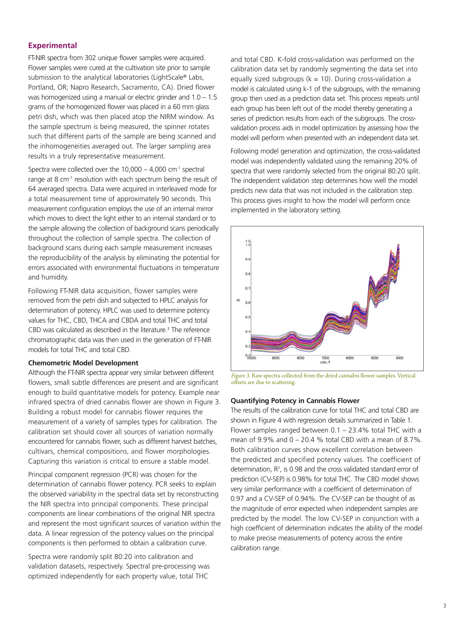## **Experimental**

FT-NIR spectra from 302 unique flower samples were acquired. Flower samples were cured at the cultivation site prior to sample submission to the analytical laboratories (LightScale® Labs, Portland, OR; Napro Research, Sacramento, CA). Dried flower was homogenized using a manual or electric grinder and 1.0 – 1.5 grams of the homogenized flower was placed in a 60 mm glass petri dish, which was then placed atop the NIRM window. As the sample spectrum is being measured, the spinner rotates such that different parts of the sample are being scanned and the inhomogeneities averaged out. The larger sampling area results in a truly representative measurement.

Spectra were collected over the  $10,000 - 4,000$  cm<sup>-1</sup> spectral range at 8 cm<sup>-1</sup> resolution with each spectrum being the result of 64 averaged spectra. Data were acquired in interleaved mode for a total measurement time of approximately 90 seconds. This measurement configuration employs the use of an internal mirror which moves to direct the light either to an internal standard or to the sample allowing the collection of background scans periodically throughout the collection of sample spectra. The collection of background scans during each sample measurement increases the reproducibility of the analysis by eliminating the potential for errors associated with environmental fluctuations in temperature and humidity.

Following FT-NIR data acquisition, flower samples were removed from the petri dish and subjected to HPLC analysis for determination of potency. HPLC was used to determine potency values for THC, CBD, THCA and CBDA and total THC and total CBD was calculated as described in the literature.<sup>3</sup> The reference chromatographic data was then used in the generation of FT-NIR models for total THC and total CBD.

## **Chemometric Model Development**

Although the FT-NIR spectra appear very similar between different flowers, small subtle differences are present and are significant enough to build quantitative models for potency. Example near infrared spectra of dried cannabis flower are shown in Figure 3. Building a robust model for cannabis flower requires the measurement of a variety of samples types for calibration. The calibration set should cover all sources of variation normally encountered for cannabis flower, such as different harvest batches, cultivars, chemical compositions, and flower morphologies. Capturing this variation is critical to ensure a stable model.

Principal component regression (PCR) was chosen for the determination of cannabis flower potency. PCR seeks to explain the observed variability in the spectral data set by reconstructing the NIR spectra into principal components. These principal components are linear combinations of the original NIR spectra and represent the most significant sources of variation within the data. A linear regression of the potency values on the principal components is then performed to obtain a calibration curve.

Spectra were randomly split 80:20 into calibration and validation datasets, respectively. Spectral pre-processing was optimized independently for each property value, total THC

and total CBD. K-fold cross-validation was performed on the calibration data set by randomly segmenting the data set into equally sized subgroups ( $k = 10$ ). During cross-validation a model is calculated using k-1 of the subgroups, with the remaining group then used as a prediction data set. This process repeats until each group has been left out of the model thereby generating a series of prediction results from each of the subgroups. The crossvalidation process aids in model optimization by assessing how the model will perform when presented with an independent data set.

Following model generation and optimization, the cross-validated model was independently validated using the remaining 20% of spectra that were randomly selected from the original 80:20 split. The independent validation step determines how well the model predicts new data that was not included in the calibration step. This process gives insight to how the model will perform once implemented in the laboratory setting.



*Figure 3.* Raw spectra collected from the dried cannabis flower samples. Vertical offsets are due to scattering.

#### **Quantifying Potency in Cannabis Flower**

The results of the calibration curve for total THC and total CBD are shown in Figure 4 with regression details summarized in Table 1. Flower samples ranged between 0.1 – 23.4% total THC with a mean of 9.9% and  $0 - 20.4$  % total CBD with a mean of 8.7%. Both calibration curves show excellent correlation between the predicted and specified potency values. The coefficient of determination,  $R^2$ , is 0.98 and the cross validated standard error of prediction (CV-SEP) is 0.98% for total THC. The CBD model shows very similar performance with a coefficient of determination of 0.97 and a CV-SEP of 0.94%. The CV-SEP can be thought of as the magnitude of error expected when independent samples are predicted by the model. The low CV-SEP in conjunction with a high coefficient of determination indicates the ability of the model to make precise measurements of potency across the entire calibration range.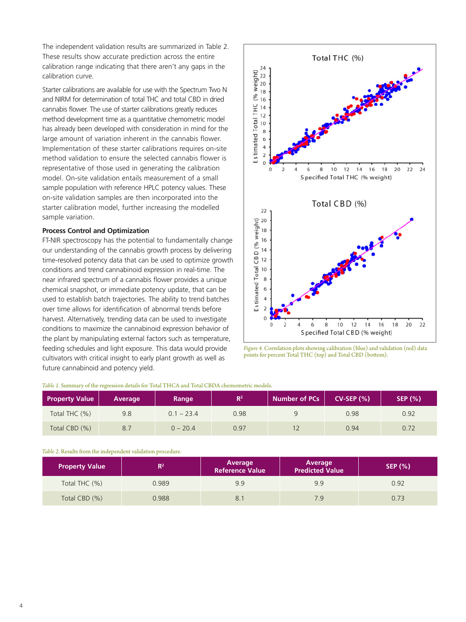The independent validation results are summarized in Table 2. These results show accurate prediction across the entire calibration range indicating that there aren't any gaps in the calibration curve.

Starter calibrations are available for use with the Spectrum Two N and NIRM for determination of total THC and total CBD in dried cannabis flower. The use of starter calibrations greatly reduces method development time as a quantitative chemometric model has already been developed with consideration in mind for the large amount of variation inherent in the cannabis flower. Implementation of these starter calibrations requires on-site method validation to ensure the selected cannabis flower is representative of those used in generating the calibration model. On-site validation entails measurement of a small sample population with reference HPLC potency values. These on-site validation samples are then incorporated into the starter calibration model, further increasing the modelled sample variation.

### **Process Control and Optimization**

FT-NIR spectroscopy has the potential to fundamentally change our understanding of the cannabis growth process by delivering time-resolved potency data that can be used to optimize growth conditions and trend cannabinoid expression in real-time. The near infrared spectrum of a cannabis flower provides a unique chemical snapshot, or immediate potency update, that can be used to establish batch trajectories. The ability to trend batches over time allows for identification of abnormal trends before harvest. Alternatively, trending data can be used to investigate conditions to maximize the cannabinoid expression behavior of the plant by manipulating external factors such as temperature, feeding schedules and light exposure. This data would provide cultivators with critical insight to early plant growth as well as future cannabinoid and potency yield.



*Figure 4.* Correlation plots showing calibration (blue) and validation (red) data points for percent Total THC (top) and Total CBD (bottom).

| <b>Property Value</b> | Average | Range        | R <sup>2</sup> | <b>Number of PCs</b> | $CV-SEP(%)$ | <b>SEP (%)</b> |
|-----------------------|---------|--------------|----------------|----------------------|-------------|----------------|
| Total THC (%)         | 9.8     | $0.1 - 23.4$ | 0.98           | q                    | 0.98        | 0.92           |
| Total CBD (%)         | 8.7     | $0 - 20.4$   | 0.97           |                      | 0.94        | 0.72           |

#### *Table 1.* Summary of the regression details for Total THCA and Total CBDA chemometric models.

*Table 2.* Results from the independent validation procedure.

| <b>Property Value</b> | $\mathsf{R}^2$ | Average<br><b>Reference Value</b> | Average<br><b>Predicted Value</b> | <b>SEP (%)</b> |
|-----------------------|----------------|-----------------------------------|-----------------------------------|----------------|
| Total THC (%)         | 0.989          | 9.9                               | 9.9                               | 0.92           |
| Total CBD (%)         | 0.988          |                                   | 79                                | 0.73           |